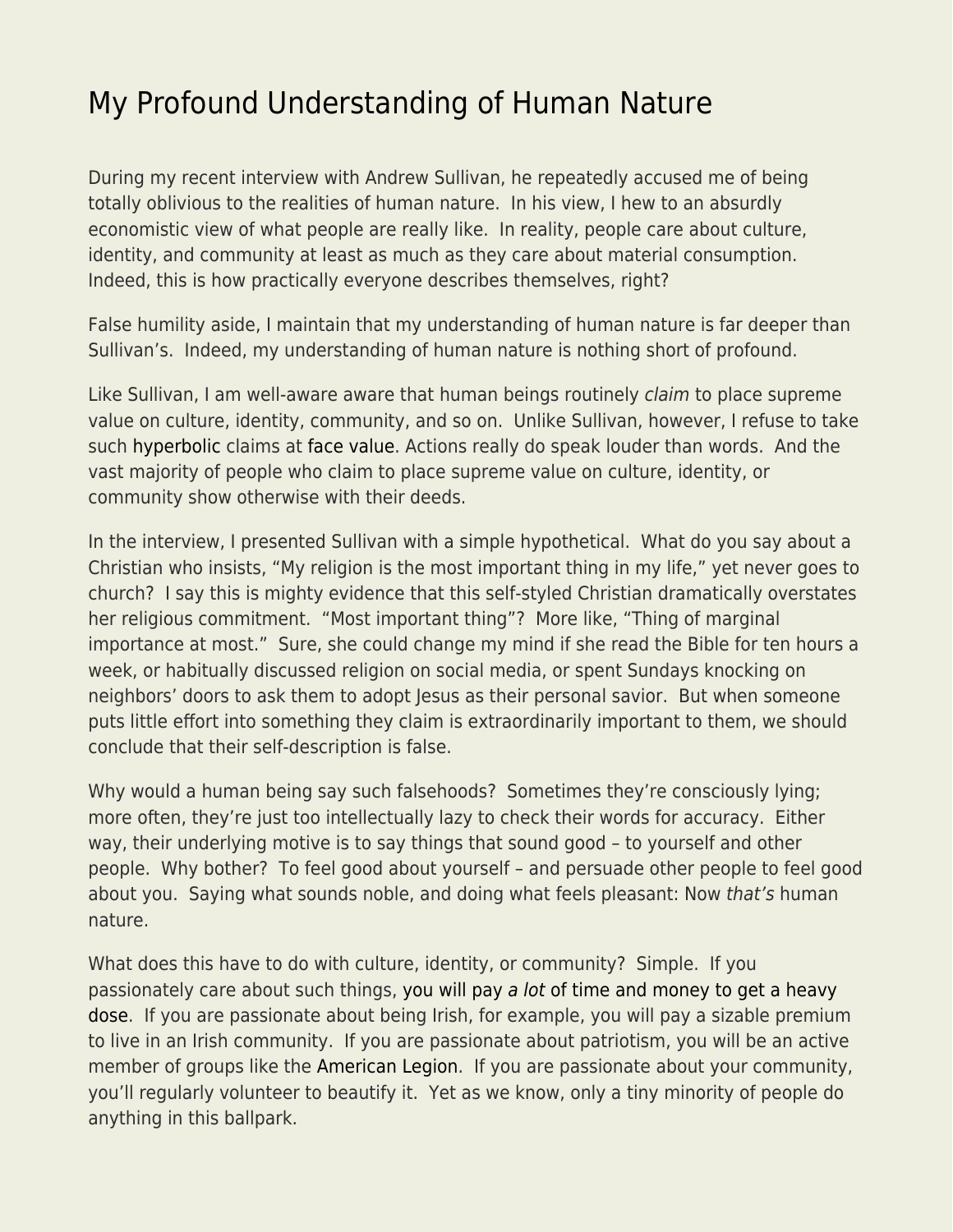## [My Profound Understanding of Human Nature](https://everything-voluntary.com/my-profound-understanding-of-human-nature)

During my recent interview with Andrew Sullivan, he repeatedly accused me of being totally oblivious to the realities of human nature. In his view, I hew to an absurdly economistic view of what people are really like. In reality, people care about culture, identity, and community at least as much as they care about material consumption. Indeed, this is how practically everyone describes themselves, right?

False humility aside, I maintain that my understanding of human nature is far deeper than Sullivan's. Indeed, my understanding of human nature is nothing short of profound.

Like Sullivan, I am well-aware aware that human beings routinely *claim* to place supreme value on culture, identity, community, and so on. Unlike Sullivan, however, I refuse to take such [hyperbolic](https://www.econlib.org/archives/2015/09/whats_libertari.html) claims at [face value.](https://www.econlib.org/archives/2016/05/lip_service.html) Actions really do speak louder than words. And the vast majority of people who claim to place supreme value on culture, identity, or community show otherwise with their deeds.

In the interview, I presented Sullivan with a simple hypothetical. What do you say about a Christian who insists, "My religion is the most important thing in my life," yet never goes to church? I say this is mighty evidence that this self-styled Christian dramatically overstates her religious commitment. "Most important thing"? More like, "Thing of marginal importance at most." Sure, she could change my mind if she read the Bible for ten hours a week, or habitually discussed religion on social media, or spent Sundays knocking on neighbors' doors to ask them to adopt Jesus as their personal savior. But when someone puts little effort into something they claim is extraordinarily important to them, we should conclude that their self-description is false.

Why would a human being say such falsehoods? Sometimes they're consciously lying; more often, they're just too intellectually lazy to check their words for accuracy. Either way, their underlying motive is to say things that sound good – to yourself and other people. Why bother? To feel good about yourself – and persuade other people to feel good about you. Saying what sounds noble, and doing what feels pleasant: Now that's human nature.

What does this have to do with culture, identity, or community? Simple. If you passionately care about such things[, you will pay](https://www.econlib.org/archives/2016/08/what_i_fail_to.html) [a lot](https://www.econlib.org/archives/2016/08/what_i_fail_to.html) [of time and money to get a heavy](https://www.econlib.org/archives/2016/08/what_i_fail_to.html) [dose](https://www.econlib.org/archives/2016/08/what_i_fail_to.html). If you are passionate about being Irish, for example, you will pay a sizable premium to live in an Irish community. If you are passionate about patriotism, you will be an active member of groups like the [American Legion](https://en.wikipedia.org/wiki/American_Legion). If you are passionate about your community, you'll regularly volunteer to beautify it. Yet as we know, only a tiny minority of people do anything in this ballpark.